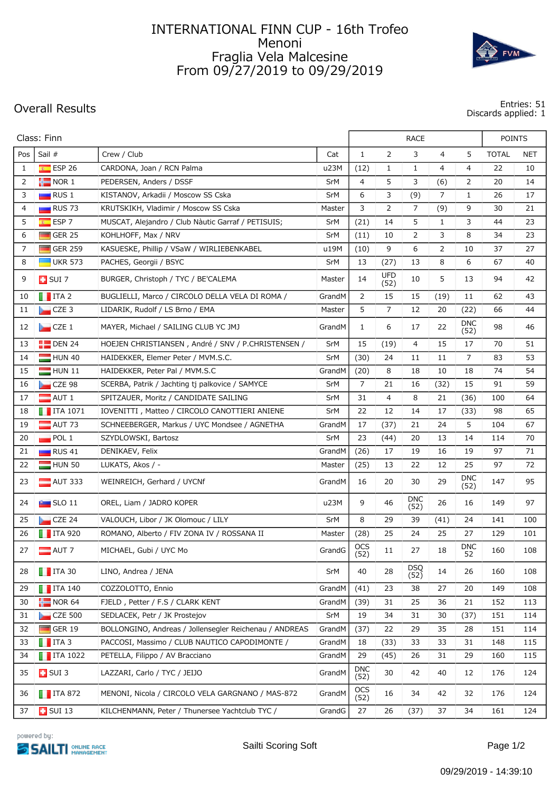## INTERNATIONAL FINN CUP - 16th Trofeo Menoni Fraglia Vela Malcesine From 09/27/2019 to 09/29/2019



**Overall Results Entries: 51 Discards applied: 1**

| $\overline{2}$<br>Pos<br>Sail #<br>$\mathbf{1}$<br>3<br>$\overline{4}$<br>5<br>Crew / Club<br>Cat                                                     | <b>TOTAL</b><br><b>NET</b> |
|-------------------------------------------------------------------------------------------------------------------------------------------------------|----------------------------|
|                                                                                                                                                       |                            |
| $E$ ESP 26<br>CARDONA, Joan / RCN Palma<br>$\mathbf{1}$<br>4<br>4<br>1<br>u23M<br>(12)<br>1                                                           | 22<br>10                   |
| $\blacksquare$ NOR 1<br>$\overline{4}$<br>5<br>3<br>2<br>PEDERSEN, Anders / DSSF<br><b>SrM</b><br>(6)<br>2                                            | 20<br>14                   |
| KISTANOV, Arkadii / Moscow SS Cska<br>6<br>7<br>3<br>$\blacksquare$ RUS 1<br>SrM<br>3<br>(9)<br>1                                                     | 26<br>17                   |
| 3<br>2<br>7<br>4<br>$\blacksquare$ RUS 73<br>KRUTSKIKH, Vladimir / Moscow SS Cska<br>(9)<br>9<br>Master                                               | 30<br>21                   |
| 5<br>ESP <sub>7</sub><br>5<br>3<br>MUSCAT, Alejandro / Club Nàutic Garraf / PETISUIS;<br>(21)<br>14<br>$\mathbf{1}$<br>$\overline{\mathbf{x}}$<br>SrM | 44<br>23                   |
| 3<br>6<br><b>The Second</b><br>GER <sub>25</sub><br>KOHLHOFF, Max / NRV<br>2<br>8<br>SrM<br>(11)<br>10                                                | 34<br>23                   |
| 7<br>$\Box$ GER 259<br>KASUESKE, Phillip / VSaW / WIRLIEBENKABEL<br>9<br>6<br>2<br>u19M<br>(10)<br>10                                                 | 27<br>37                   |
| 8<br>$\blacksquare$ UKR 573<br>PACHES, Georgii / BSYC<br>13<br>13<br>8<br>6<br>SrM<br>(27)                                                            | 40<br>67                   |
| UFD<br>5<br>9<br>14<br>10<br>13<br>$\Box$ SUI 7<br>BURGER, Christoph / TYC / BE'CALEMA<br>Master<br>(52)                                              | 94<br>42                   |
| $\blacksquare$ ITA 2<br>BUGLIELLI, Marco / CIRCOLO DELLA VELA DI ROMA /<br>2<br>15<br>15<br>GrandM<br>(19)<br>11<br>10                                | 62<br>43                   |
| 7<br>11<br>LIDARIK, Rudolf / LS Brno / EMA<br>5<br>12<br>$CZE$ 3<br>Master<br>20<br>(22)                                                              | 44<br>66                   |
| <b>DNC</b><br>12<br>6<br>17<br>22<br>$\Box$ CZE 1<br>MAYER, Michael / SAILING CLUB YC JMJ<br>GrandM<br>$\mathbf{1}$<br>(52)                           | 98<br>46                   |
| 13<br>$\blacksquare$ DEN 24<br>HOEJEN CHRISTIANSEN, André / SNV / P.CHRISTENSEN /<br>SrM<br>15<br>(19)<br>4<br>15<br>17                               | 70<br>51                   |
| $\overline{7}$<br>HUN 40<br>HAIDEKKER, Elemer Peter / MVM.S.C.<br>SrM<br>(30)<br>24<br>11<br>11<br>14                                                 | 83<br>53                   |
| 15<br>8<br>18<br>10<br>$HUN$ 11<br>HAIDEKKER, Peter Pal / MVM.S.C<br>GrandM<br>(20)<br>18                                                             | 74<br>54                   |
| 7<br>$CZE$ 98<br>SCERBA, Patrik / Jachting tj palkovice / SAMYCE<br>SrM<br>21<br>16<br>(32)<br>15<br>16                                               | 91<br>59                   |
| 17<br>$\blacksquare$ AUT 1<br>31<br>4<br>8<br>SPITZAUER, Moritz / CANDIDATE SAILING<br>SrM<br>21<br>(36)                                              | 100<br>64                  |
| IOVENITTI, Matteo / CIRCOLO CANOTTIERI ANIENE<br>22<br>12<br>18<br>$\blacksquare$ ITA 1071<br>SrM<br>14<br>17<br>(33)                                 | 98<br>65                   |
| 5<br>19<br>AUT 73<br>17<br>21<br>24<br>SCHNEEBERGER, Markus / UYC Mondsee / AGNETHA<br>GrandM<br>(37)                                                 | 67<br>104                  |
| 20<br>POL <sub>1</sub><br>23<br>(44)<br>20<br>13<br>SZYDLOWSKI, Bartosz<br>SrM<br>14                                                                  | 70<br>114                  |
| 21<br>$\blacksquare$ RUS 41<br>DENIKAEV, Felix<br>GrandM<br>(26)<br>17<br>19<br>16<br>19                                                              | 71<br>97                   |
| 22<br>HUN 50<br>LUKATS, Akos / -<br>(25)<br>13<br>22<br>12<br>25<br>Master                                                                            | 97<br>72                   |
| <b>DNC</b><br>23<br>30<br>29<br>$\blacksquare$ AUT 333<br>WEINREICH, Gerhard / UYCNf<br>GrandM<br>16<br>20<br>(52)                                    | 95<br>147                  |
| <b>DNC</b><br>u23M<br>9<br>46<br>24<br>$\sim$ SLO 11<br>OREL, Liam / JADRO KOPER<br>26<br>16<br>(52)                                                  | 97<br>149                  |
| 25<br>CZE 24<br>VALOUCH, Libor / JK Olomouc / LILY<br>SrM<br>8<br>29<br>39<br>(41)<br>24                                                              | 141<br>100                 |
| 25<br>25<br>27<br>26<br>$\blacksquare$ ITA 920<br>ROMANO, Alberto / FIV ZONA IV / ROSSANA II<br>Master<br>(28)<br>24                                  | 129<br>101                 |
| <b>OCS</b><br><b>DNC</b><br>27<br>GrandG<br>$11\,$<br>27<br>18<br>$\blacksquare$ AUT 7<br>MICHAEL, Gubi / UYC Mo<br>52<br>(52)                        | 160<br>108                 |
| <b>DSQ</b><br>$\blacksquare$ ITA 30<br>LINO, Andrea / JENA<br>SrM<br>40<br>28<br>14<br>28<br>26<br>(52)                                               | 160<br>108                 |
| COZZOLOTTO, Ennio<br>$\blacksquare$ ITA 140<br>GrandM<br>(41)<br>23<br>27<br>20<br>29<br>38                                                           | 149<br>108                 |
| $\blacksquare$ NOR 64<br>FJELD, Petter / F.S / CLARK KENT<br>GrandM<br>(39)<br>25<br>30<br>31<br>36<br>21                                             | 152<br>113                 |
| $CZE$ 500<br>SEDLACEK, Petr / JK Prostejov<br>SrM<br>19<br>34<br>31<br>31<br>30<br>(37)                                                               | 151<br>114                 |
| $\Box$ GER 19<br>BOLLONGINO, Andreas / Jollensegler Reichenau / ANDREAS<br>32<br>GrandM<br>(37)<br>22<br>29<br>35<br>28                               | 151<br>114                 |
| $\blacksquare$ ITA 3<br>PACCOSI, Massimo / CLUB NAUTICO CAPODIMONTE /<br>33<br>GrandM<br>18<br>(33)<br>33<br>33<br>31                                 | 148<br>115                 |
| $\blacksquare$ ITA 1022<br>29<br>PETELLA, Filippo / AV Bracciano<br>(45)<br>26<br>31<br>29<br>34<br>GrandM                                            | 115<br>160                 |
| <b>DNC</b><br>35<br>$\Box$ SUI 3<br>GrandM<br>30<br>40<br>LAZZARI, Carlo / TYC / JEIJO<br>42<br>12<br>(52)                                            | 176<br>124                 |
| <b>OCS</b><br>$\blacksquare$ ITA 872<br>MENONI, Nicola / CIRCOLO VELA GARGNANO / MAS-872<br>GrandM<br>42<br>36<br>16<br>34<br>32<br>(52)              | 176<br>124                 |
| $\blacksquare$ SUI 13<br>KILCHENMANN, Peter / Thunersee Yachtclub TYC /<br>GrandG<br>27<br>37<br>37<br>26<br>(37)<br>34                               | 161<br>124                 |